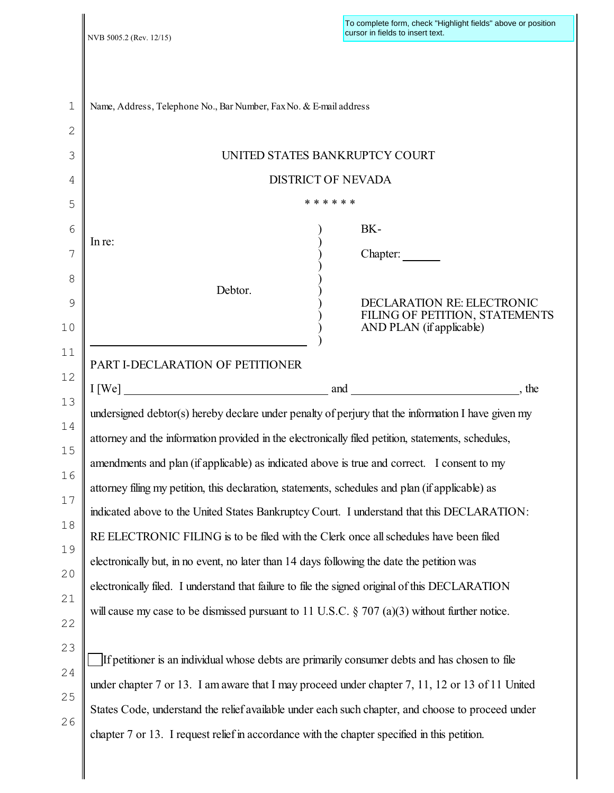| 1        | Name, Address, Telephone No., Bar Number, Fax No. & E-mail address                                 |
|----------|----------------------------------------------------------------------------------------------------|
| 2        |                                                                                                    |
| 3        | UNITED STATES BANKRUPTCY COURT                                                                     |
| 4        | <b>DISTRICT OF NEVADA</b>                                                                          |
| 5        | * * * * * *                                                                                        |
| 6        | BK-                                                                                                |
| 7        | In re:<br>Chapter:                                                                                 |
| 8        |                                                                                                    |
| 9        | Debtor.<br>DECLARATION RE: ELECTRONIC<br>FILING OF PETITION, STATEMENTS                            |
| 10       | AND PLAN (if applicable)                                                                           |
| 11       | PART I-DECLARATION OF PETITIONER                                                                   |
| 12       |                                                                                                    |
| 13       | undersigned debtor(s) hereby declare under penalty of perjury that the information I have given my |
| 14       | attorney and the information provided in the electronically filed petition, statements, schedules, |
| 15       | amendments and plan (if applicable) as indicated above is true and correct. I consent to my        |
| 16       | attorney filing my petition, this declaration, statements, schedules and plan (if applicable) as   |
| 17       | indicated above to the United States Bankruptcy Court. I understand that this DECLARATION:         |
| 18       | RE ELECTRONIC FILING is to be filed with the Clerk once all schedules have been filed              |
| 19       | electronically but, in no event, no later than 14 days following the date the petition was         |
| 20       | electronically filed. I understand that failure to file the signed original of this DECLARATION    |
| 21<br>22 | will cause my case to be dismissed pursuant to 11 U.S.C. $\S 707$ (a)(3) without further notice.   |
| 23       |                                                                                                    |
| 24       | If petitioner is an individual whose debts are primarily consumer debts and has chosen to file     |
|          | under chapter 7 or 13. I am aware that I may proceed under chapter 7, 11, 12 or 13 of 11 United    |
| 25       | States Code, understand the relief available under each such chapter, and choose to proceed under  |
| 26       | chapter 7 or 13. I request relief in accordance with the chapter specified in this petition.       |
|          |                                                                                                    |